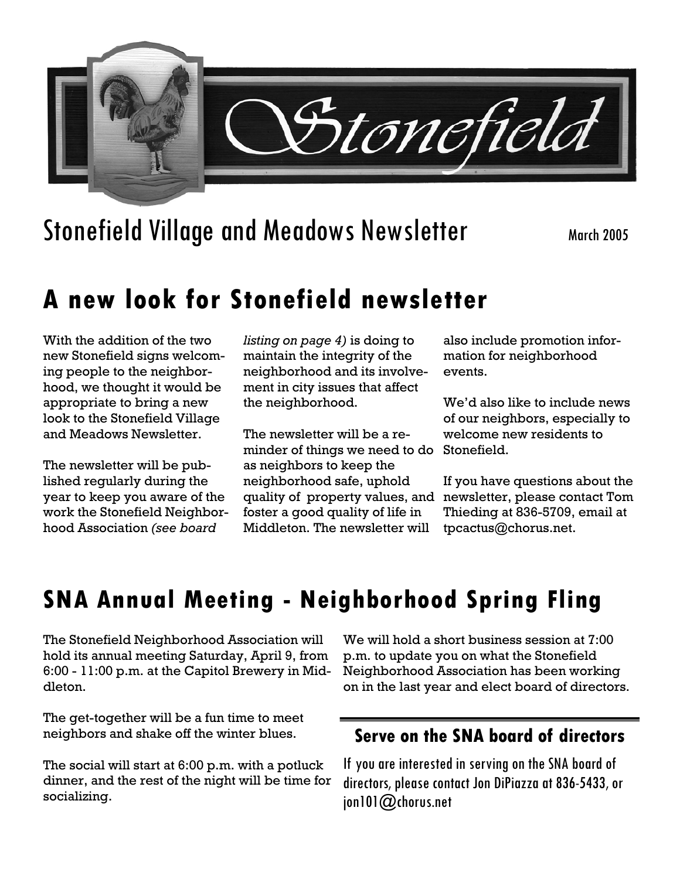

## Stonefield Village and Meadows Newsletter March 2005

## **A new look for Stonefield newsletter**

With the addition of the two new Stonefield signs welcoming people to the neighborhood, we thought it would be appropriate to bring a new look to the Stonefield Village and Meadows Newsletter.

The newsletter will be published regularly during the year to keep you aware of the work the Stonefield Neighborhood Association *(see board* 

*listing on page 4)* is doing to maintain the integrity of the neighborhood and its involvement in city issues that affect the neighborhood.

The newsletter will be a reminder of things we need to do as neighbors to keep the neighborhood safe, uphold quality of property values, and newsletter, please contact Tom foster a good quality of life in Middleton. The newsletter will

also include promotion information for neighborhood events.

We'd also like to include news of our neighbors, especially to welcome new residents to Stonefield.

If you have questions about the Thieding at 836-5709, email at tpcactus@chorus.net.

## **SNA Annual Meeting - Neighborhood Spring Fling**

The Stonefield Neighborhood Association will hold its annual meeting Saturday, April 9, from 6:00 - 11:00 p.m. at the Capitol Brewery in Middleton.

The get-together will be a fun time to meet neighbors and shake off the winter blues.

The social will start at 6:00 p.m. with a potluck dinner, and the rest of the night will be time for socializing.

We will hold a short business session at 7:00 p.m. to update you on what the Stonefield Neighborhood Association has been working on in the last year and elect board of directors.

### **Serve on the SNA board of directors**

If you are interested in serving on the SNA board of directors, please contact Jon DiPiazza at 836-5433, or jon101@chorus.net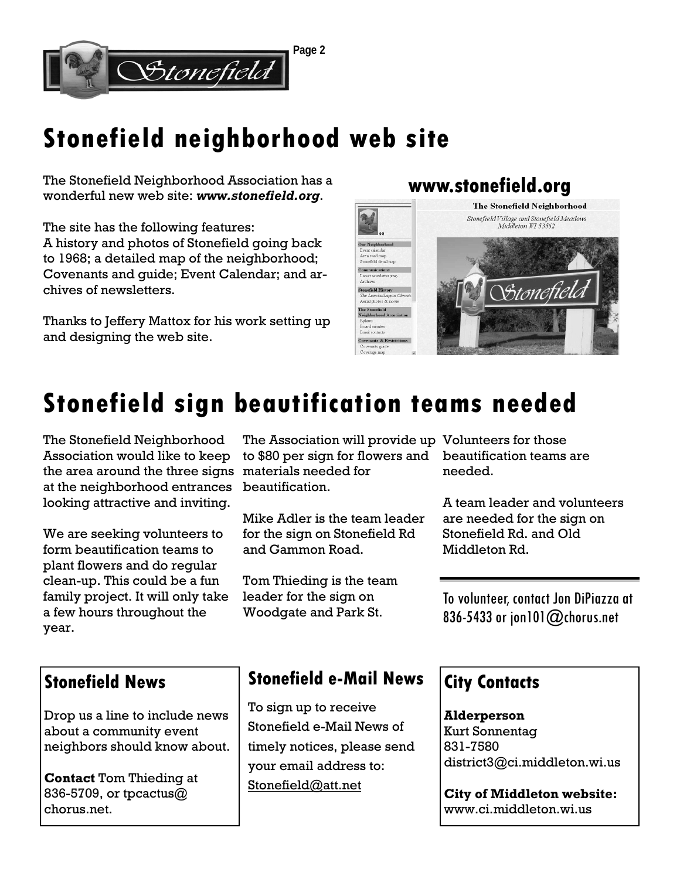

# **Stonefield neighborhood web site**

The Stonefield Neighborhood Association has a wonderful new web site: *www.stonefield.org*.

The site has the following features: A history and photos of Stonefield going back to 1968; a detailed map of the neighborhood; Covenants and guide; Event Calendar; and archives of newsletters.

Thanks to Jeffery Mattox for his work setting up and designing the web site.

### **www.stonefield.org**



# **Stonefield sign beautification teams needed**

The Stonefield Neighborhood Association would like to keep the area around the three signs materials needed for at the neighborhood entrances looking attractive and inviting.

We are seeking volunteers to form beautification teams to plant flowers and do regular clean-up. This could be a fun family project. It will only take a few hours throughout the year.

The Association will provide up Volunteers for those to \$80 per sign for flowers and beautification.

Mike Adler is the team leader for the sign on Stonefield Rd and Gammon Road.

Tom Thieding is the team leader for the sign on Woodgate and Park St.

beautification teams are needed.

A team leader and volunteers are needed for the sign on Stonefield Rd. and Old Middleton Rd.

To volunteer, contact Jon DiPiazza at 836-5433 or jon101 $@$ chorus.net

### **Stonefield News**

Drop us a line to include news about a community event neighbors should know about.

**Contact** Tom Thieding at 836-5709, or tpcactus $@$ chorus.net.

### **Stonefield e-Mail News**

To sign up to receive Stonefield e-Mail News of timely notices, please send your email address to: Stonefield@att.net

### **City Contacts**

**Alderperson**  Kurt Sonnentag 831-7580 district3@ci.middleton.wi.us

**City of Middleton website:**  www.ci.middleton.wi.us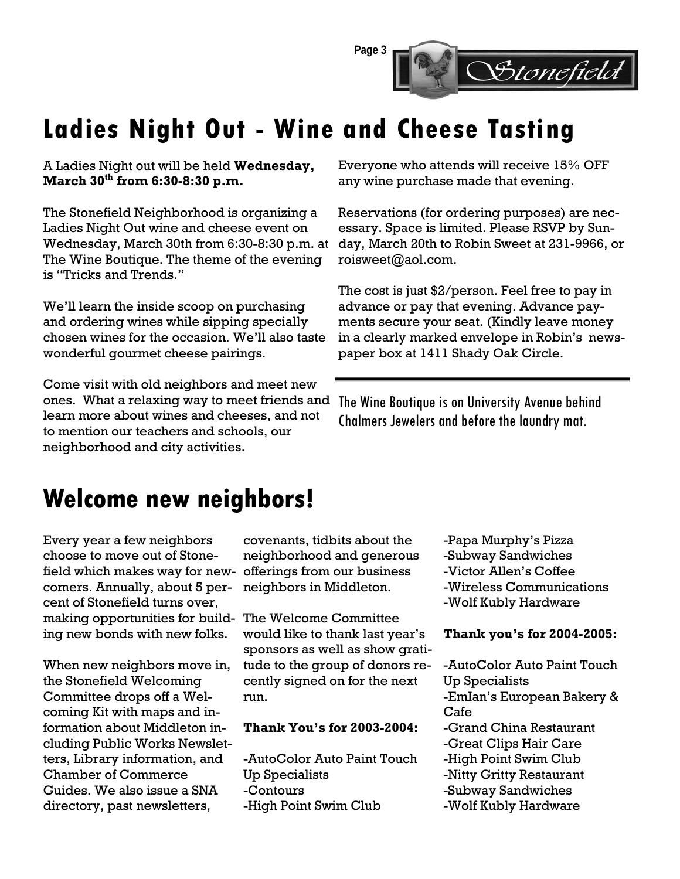

# **Ladies Night Out - Wine and Cheese Tasting**

A Ladies Night out will be held **Wednesday, March 30th from 6:30-8:30 p.m.**

The Stonefield Neighborhood is organizing a Ladies Night Out wine and cheese event on Wednesday, March 30th from 6:30-8:30 p.m. at The Wine Boutique. The theme of the evening is "Tricks and Trends."

We'll learn the inside scoop on purchasing and ordering wines while sipping specially chosen wines for the occasion. We'll also taste wonderful gourmet cheese pairings.

Come visit with old neighbors and meet new ones. What a relaxing way to meet friends and The Wine Boutique is on University Avenue behind learn more about wines and cheeses, and not to mention our teachers and schools, our neighborhood and city activities.

Everyone who attends will receive 15% OFF any wine purchase made that evening.

Reservations (for ordering purposes) are necessary. Space is limited. Please RSVP by Sunday, March 20th to Robin Sweet at 231-9966, or roisweet@aol.com.

The cost is just \$2/person. Feel free to pay in advance or pay that evening. Advance payments secure your seat. (Kindly leave money in a clearly marked envelope in Robin's newspaper box at 1411 Shady Oak Circle.

Chalmers Jewelers and before the laundry mat.

## **Welcome new neighbors!**

Every year a few neighbors choose to move out of Stonefield which makes way for newcomers. Annually, about 5 percent of Stonefield turns over, making opportunities for building new bonds with new folks.

When new neighbors move in, the Stonefield Welcoming Committee drops off a Welcoming Kit with maps and information about Middleton including Public Works Newsletters, Library information, and Chamber of Commerce Guides. We also issue a SNA directory, past newsletters,

covenants, tidbits about the neighborhood and generous offerings from our business neighbors in Middleton.

The Welcome Committee would like to thank last year's sponsors as well as show gratitude to the group of donors recently signed on for the next run.

#### **Thank You's for 2003-2004:**

-AutoColor Auto Paint Touch Up Specialists -Contours -High Point Swim Club

- -Papa Murphy's Pizza
- -Subway Sandwiches
- -Victor Allen's Coffee
- -Wireless Communications
- -Wolf Kubly Hardware

#### **Thank you's for 2004-2005:**

-AutoColor Auto Paint Touch Up Specialists -EmIan's European Bakery &

- Cafe
- -Grand China Restaurant
- -Great Clips Hair Care
- -High Point Swim Club
- -Nitty Gritty Restaurant
- -Subway Sandwiches
- -Wolf Kubly Hardware